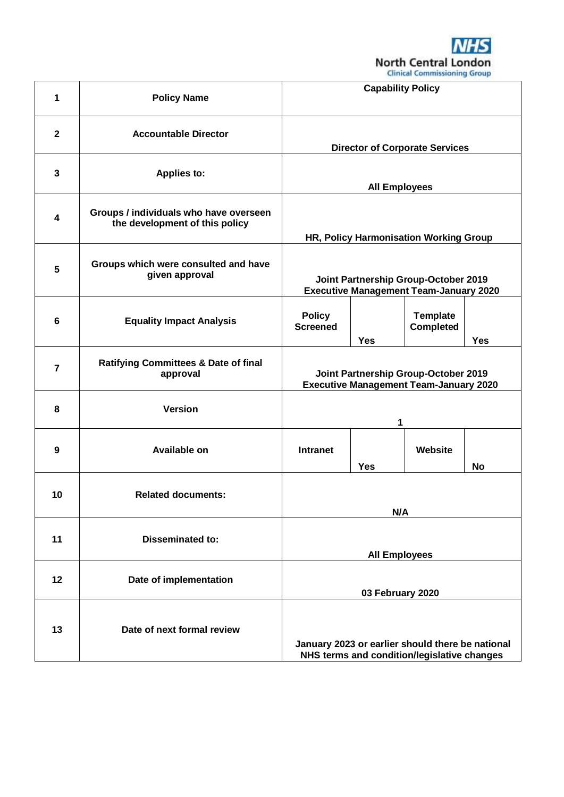**NHS North Central London**<br>Clinical Commissioning Group

| 1                       | <b>Policy Name</b>                                                       | <b>Capability Policy</b>                                                                        |            |                                     |           |
|-------------------------|--------------------------------------------------------------------------|-------------------------------------------------------------------------------------------------|------------|-------------------------------------|-----------|
| $\overline{2}$          | <b>Accountable Director</b>                                              | <b>Director of Corporate Services</b>                                                           |            |                                     |           |
| $\mathbf{3}$            | <b>Applies to:</b>                                                       | <b>All Employees</b>                                                                            |            |                                     |           |
| $\overline{\mathbf{4}}$ | Groups / individuals who have overseen<br>the development of this policy | HR, Policy Harmonisation Working Group                                                          |            |                                     |           |
| 5                       | Groups which were consulted and have<br>given approval                   | Joint Partnership Group-October 2019<br><b>Executive Management Team-January 2020</b>           |            |                                     |           |
| $6\phantom{1}6$         | <b>Equality Impact Analysis</b>                                          | <b>Policy</b><br><b>Screened</b>                                                                | <b>Yes</b> | <b>Template</b><br><b>Completed</b> | Yes       |
| $\overline{7}$          | <b>Ratifying Committees &amp; Date of final</b><br>approval              | Joint Partnership Group-October 2019<br><b>Executive Management Team-January 2020</b>           |            |                                     |           |
| 8                       | <b>Version</b>                                                           |                                                                                                 | 1          |                                     |           |
| 9                       | Available on                                                             | <b>Intranet</b>                                                                                 | <b>Yes</b> | Website                             | <b>No</b> |
| 10                      | <b>Related documents:</b>                                                | N/A                                                                                             |            |                                     |           |
| 11                      | <b>Disseminated to:</b>                                                  | <b>All Employees</b>                                                                            |            |                                     |           |
| 12                      | Date of implementation                                                   | 03 February 2020                                                                                |            |                                     |           |
| 13                      | Date of next formal review                                               | January 2023 or earlier should there be national<br>NHS terms and condition/legislative changes |            |                                     |           |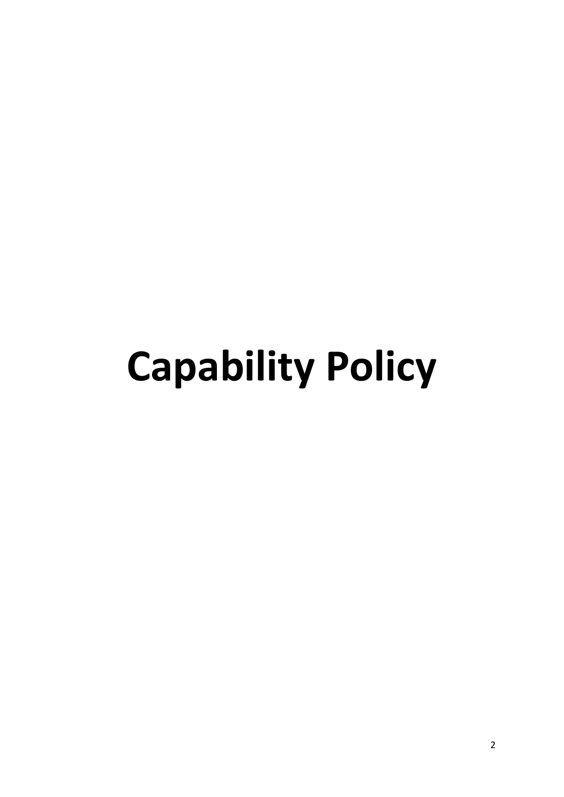# **Capability Policy**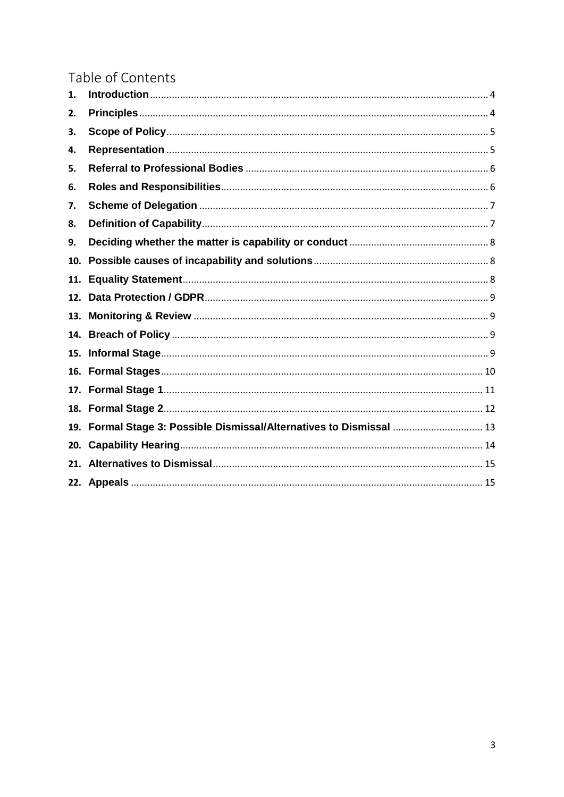# Table of Contents

| 1.  |                                                                      |
|-----|----------------------------------------------------------------------|
| 2.  |                                                                      |
| 3.  |                                                                      |
| 4.  |                                                                      |
| 5.  |                                                                      |
| 6.  |                                                                      |
| 7.  |                                                                      |
| 8.  |                                                                      |
| 9.  |                                                                      |
| 10. |                                                                      |
| 11. |                                                                      |
| 12. |                                                                      |
| 13. |                                                                      |
| 14. |                                                                      |
| 15. |                                                                      |
|     |                                                                      |
|     |                                                                      |
| 18. |                                                                      |
|     | 19. Formal Stage 3: Possible Dismissal/Alternatives to Dismissal  13 |
| 20. |                                                                      |
| 21. |                                                                      |
|     |                                                                      |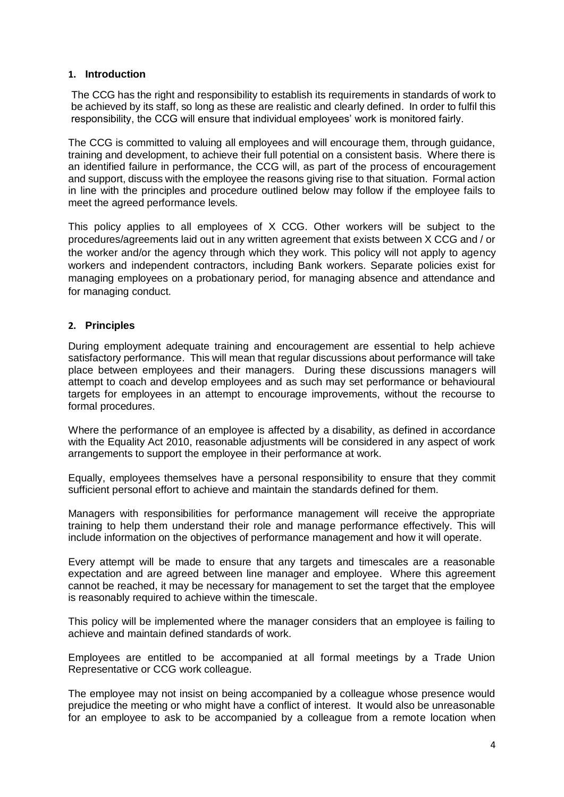# <span id="page-3-0"></span>**1. Introduction**

The CCG has the right and responsibility to establish its requirements in standards of work to be achieved by its staff, so long as these are realistic and clearly defined. In order to fulfil this responsibility, the CCG will ensure that individual employees' work is monitored fairly.

The CCG is committed to valuing all employees and will encourage them, through guidance, training and development, to achieve their full potential on a consistent basis. Where there is an identified failure in performance, the CCG will, as part of the process of encouragement and support, discuss with the employee the reasons giving rise to that situation. Formal action in line with the principles and procedure outlined below may follow if the employee fails to meet the agreed performance levels.

This policy applies to all employees of X CCG. Other workers will be subject to the procedures/agreements laid out in any written agreement that exists between X CCG and / or the worker and/or the agency through which they work. This policy will not apply to agency workers and independent contractors, including Bank workers. Separate policies exist for managing employees on a probationary period, for managing absence and attendance and for managing conduct.

# <span id="page-3-1"></span>**2. Principles**

During employment adequate training and encouragement are essential to help achieve satisfactory performance. This will mean that regular discussions about performance will take place between employees and their managers. During these discussions managers will attempt to coach and develop employees and as such may set performance or behavioural targets for employees in an attempt to encourage improvements, without the recourse to formal procedures.

Where the performance of an employee is affected by a disability, as defined in accordance with the Equality Act 2010, reasonable adjustments will be considered in any aspect of work arrangements to support the employee in their performance at work.

Equally, employees themselves have a personal responsibility to ensure that they commit sufficient personal effort to achieve and maintain the standards defined for them.

Managers with responsibilities for performance management will receive the appropriate training to help them understand their role and manage performance effectively. This will include information on the objectives of performance management and how it will operate.

Every attempt will be made to ensure that any targets and timescales are a reasonable expectation and are agreed between line manager and employee. Where this agreement cannot be reached, it may be necessary for management to set the target that the employee is reasonably required to achieve within the timescale.

This policy will be implemented where the manager considers that an employee is failing to achieve and maintain defined standards of work.

Employees are entitled to be accompanied at all formal meetings by a Trade Union Representative or CCG work colleague.

The employee may not insist on being accompanied by a colleague whose presence would prejudice the meeting or who might have a conflict of interest. It would also be unreasonable for an employee to ask to be accompanied by a colleague from a remote location when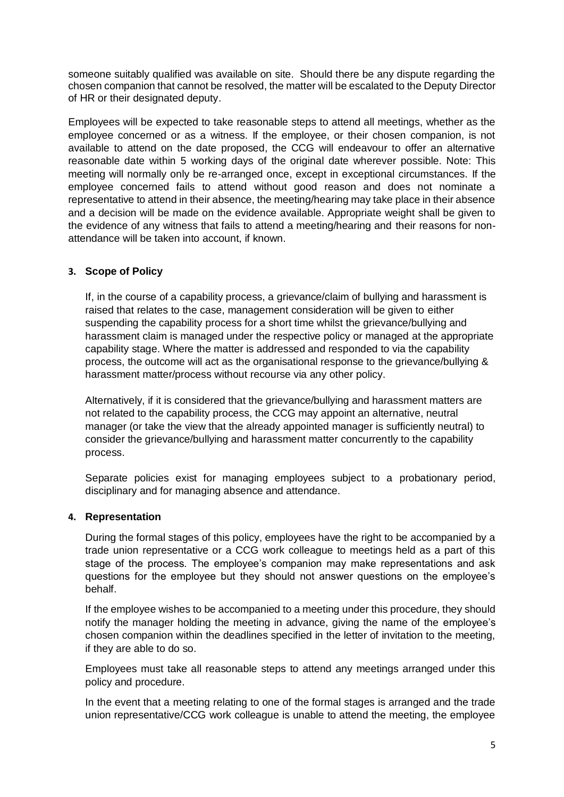someone suitably qualified was available on site. Should there be any dispute regarding the chosen companion that cannot be resolved, the matter will be escalated to the Deputy Director of HR or their designated deputy.

Employees will be expected to take reasonable steps to attend all meetings, whether as the employee concerned or as a witness. If the employee, or their chosen companion, is not available to attend on the date proposed, the CCG will endeavour to offer an alternative reasonable date within 5 working days of the original date wherever possible. Note: This meeting will normally only be re-arranged once, except in exceptional circumstances. If the employee concerned fails to attend without good reason and does not nominate a representative to attend in their absence, the meeting/hearing may take place in their absence and a decision will be made on the evidence available. Appropriate weight shall be given to the evidence of any witness that fails to attend a meeting/hearing and their reasons for nonattendance will be taken into account, if known.

# <span id="page-4-0"></span>**3. Scope of Policy**

If, in the course of a capability process, a grievance/claim of bullying and harassment is raised that relates to the case, management consideration will be given to either suspending the capability process for a short time whilst the grievance/bullying and harassment claim is managed under the respective policy or managed at the appropriate capability stage. Where the matter is addressed and responded to via the capability process, the outcome will act as the organisational response to the grievance/bullying & harassment matter/process without recourse via any other policy.

Alternatively, if it is considered that the grievance/bullying and harassment matters are not related to the capability process, the CCG may appoint an alternative, neutral manager (or take the view that the already appointed manager is sufficiently neutral) to consider the grievance/bullying and harassment matter concurrently to the capability process.

Separate policies exist for managing employees subject to a probationary period, disciplinary and for managing absence and attendance.

# <span id="page-4-1"></span>**4. Representation**

During the formal stages of this policy, employees have the right to be accompanied by a trade union representative or a CCG work colleague to meetings held as a part of this stage of the process. The employee's companion may make representations and ask questions for the employee but they should not answer questions on the employee's behalf.

If the employee wishes to be accompanied to a meeting under this procedure, they should notify the manager holding the meeting in advance, giving the name of the employee's chosen companion within the deadlines specified in the letter of invitation to the meeting, if they are able to do so.

Employees must take all reasonable steps to attend any meetings arranged under this policy and procedure.

In the event that a meeting relating to one of the formal stages is arranged and the trade union representative/CCG work colleague is unable to attend the meeting, the employee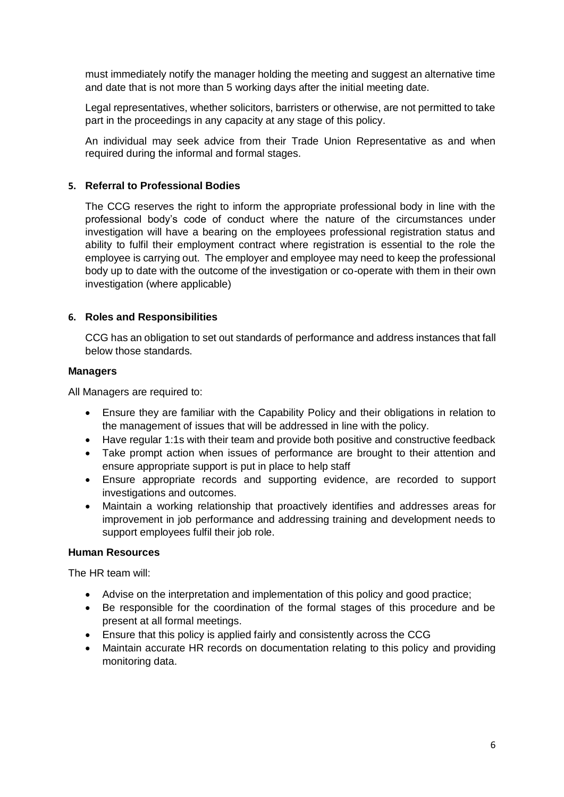must immediately notify the manager holding the meeting and suggest an alternative time and date that is not more than 5 working days after the initial meeting date.

Legal representatives, whether solicitors, barristers or otherwise, are not permitted to take part in the proceedings in any capacity at any stage of this policy.

An individual may seek advice from their Trade Union Representative as and when required during the informal and formal stages.

# <span id="page-5-0"></span>**5. Referral to Professional Bodies**

The CCG reserves the right to inform the appropriate professional body in line with the professional body's code of conduct where the nature of the circumstances under investigation will have a bearing on the employees professional registration status and ability to fulfil their employment contract where registration is essential to the role the employee is carrying out. The employer and employee may need to keep the professional body up to date with the outcome of the investigation or co-operate with them in their own investigation (where applicable)

# <span id="page-5-1"></span>**6. Roles and Responsibilities**

CCG has an obligation to set out standards of performance and address instances that fall below those standards.

# **Managers**

All Managers are required to:

- Ensure they are familiar with the Capability Policy and their obligations in relation to the management of issues that will be addressed in line with the policy.
- Have regular 1:1s with their team and provide both positive and constructive feedback
- Take prompt action when issues of performance are brought to their attention and ensure appropriate support is put in place to help staff
- Ensure appropriate records and supporting evidence, are recorded to support investigations and outcomes.
- Maintain a working relationship that proactively identifies and addresses areas for improvement in job performance and addressing training and development needs to support employees fulfil their job role.

# **Human Resources**

The HR team will:

- Advise on the interpretation and implementation of this policy and good practice;
- Be responsible for the coordination of the formal stages of this procedure and be present at all formal meetings.
- Ensure that this policy is applied fairly and consistently across the CCG
- Maintain accurate HR records on documentation relating to this policy and providing monitoring data.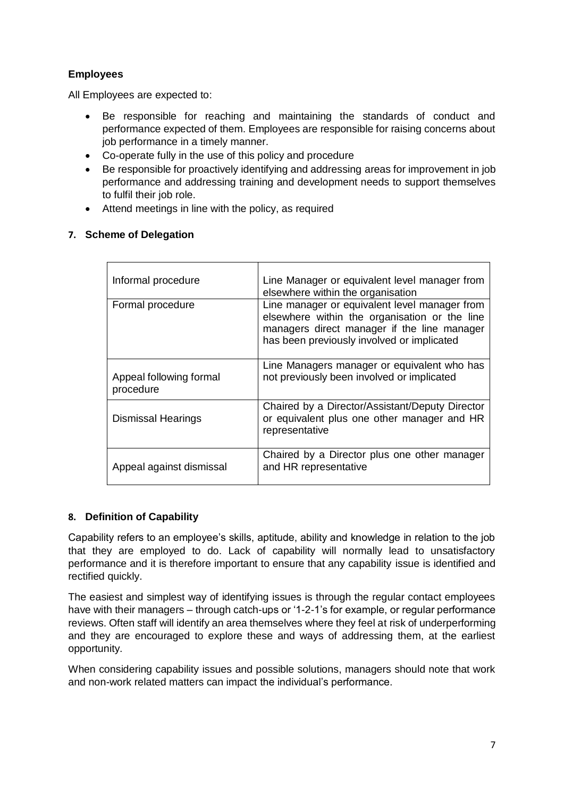# **Employees**

All Employees are expected to:

- Be responsible for reaching and maintaining the standards of conduct and performance expected of them. Employees are responsible for raising concerns about job performance in a timely manner.
- Co-operate fully in the use of this policy and procedure
- Be responsible for proactively identifying and addressing areas for improvement in job performance and addressing training and development needs to support themselves to fulfil their job role.
- Attend meetings in line with the policy, as required

# <span id="page-6-0"></span>**7. Scheme of Delegation**

| Informal procedure                   | Line Manager or equivalent level manager from<br>elsewhere within the organisation                                                                                                          |  |  |  |
|--------------------------------------|---------------------------------------------------------------------------------------------------------------------------------------------------------------------------------------------|--|--|--|
| Formal procedure                     | Line manager or equivalent level manager from<br>elsewhere within the organisation or the line<br>managers direct manager if the line manager<br>has been previously involved or implicated |  |  |  |
| Appeal following formal<br>procedure | Line Managers manager or equivalent who has<br>not previously been involved or implicated                                                                                                   |  |  |  |
| <b>Dismissal Hearings</b>            | Chaired by a Director/Assistant/Deputy Director<br>or equivalent plus one other manager and HR<br>representative                                                                            |  |  |  |
| Appeal against dismissal             | Chaired by a Director plus one other manager<br>and HR representative                                                                                                                       |  |  |  |

# <span id="page-6-1"></span>**8. Definition of Capability**

Capability refers to an employee's skills, aptitude, ability and knowledge in relation to the job that they are employed to do. Lack of capability will normally lead to unsatisfactory performance and it is therefore important to ensure that any capability issue is identified and rectified quickly.

The easiest and simplest way of identifying issues is through the regular contact employees have with their managers – through catch-ups or '1-2-1's for example, or regular performance reviews. Often staff will identify an area themselves where they feel at risk of underperforming and they are encouraged to explore these and ways of addressing them, at the earliest opportunity.

When considering capability issues and possible solutions, managers should note that work and non-work related matters can impact the individual's performance.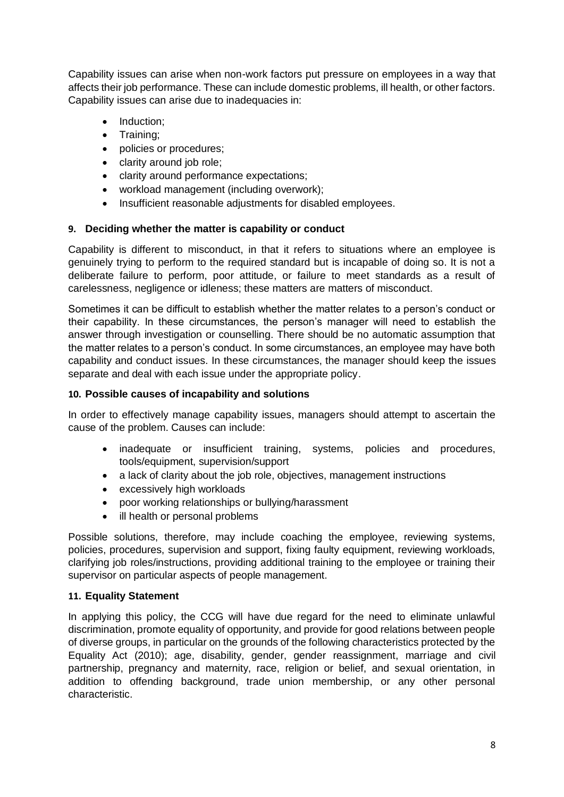Capability issues can arise when non-work factors put pressure on employees in a way that affects their job performance. These can include domestic problems, ill health, or other factors. Capability issues can arise due to inadequacies in:

- Induction;
- Training;
- policies or procedures;
- clarity around job role;
- clarity around performance expectations;
- workload management (including overwork);
- Insufficient reasonable adjustments for disabled employees.

# <span id="page-7-0"></span>**9. Deciding whether the matter is capability or conduct**

Capability is different to misconduct, in that it refers to situations where an employee is genuinely trying to perform to the required standard but is incapable of doing so. It is not a deliberate failure to perform, poor attitude, or failure to meet standards as a result of carelessness, negligence or idleness; these matters are matters of misconduct.

Sometimes it can be difficult to establish whether the matter relates to a person's conduct or their capability. In these circumstances, the person's manager will need to establish the answer through investigation or counselling. There should be no automatic assumption that the matter relates to a person's conduct. In some circumstances, an employee may have both capability and conduct issues. In these circumstances, the manager should keep the issues separate and deal with each issue under the appropriate policy.

# <span id="page-7-1"></span>**10. Possible causes of incapability and solutions**

In order to effectively manage capability issues, managers should attempt to ascertain the cause of the problem. Causes can include:

- inadequate or insufficient training, systems, policies and procedures, tools/equipment, supervision/support
- a lack of clarity about the job role, objectives, management instructions
- excessively high workloads
- poor working relationships or bullying/harassment
- ill health or personal problems

Possible solutions, therefore, may include coaching the employee, reviewing systems, policies, procedures, supervision and support, fixing faulty equipment, reviewing workloads, clarifying job roles/instructions, providing additional training to the employee or training their supervisor on particular aspects of people management.

# <span id="page-7-2"></span>**11. Equality Statement**

In applying this policy, the CCG will have due regard for the need to eliminate unlawful discrimination, promote equality of opportunity, and provide for good relations between people of diverse groups, in particular on the grounds of the following characteristics protected by the Equality Act (2010); age, disability, gender, gender reassignment, marriage and civil partnership, pregnancy and maternity, race, religion or belief, and sexual orientation, in addition to offending background, trade union membership, or any other personal characteristic.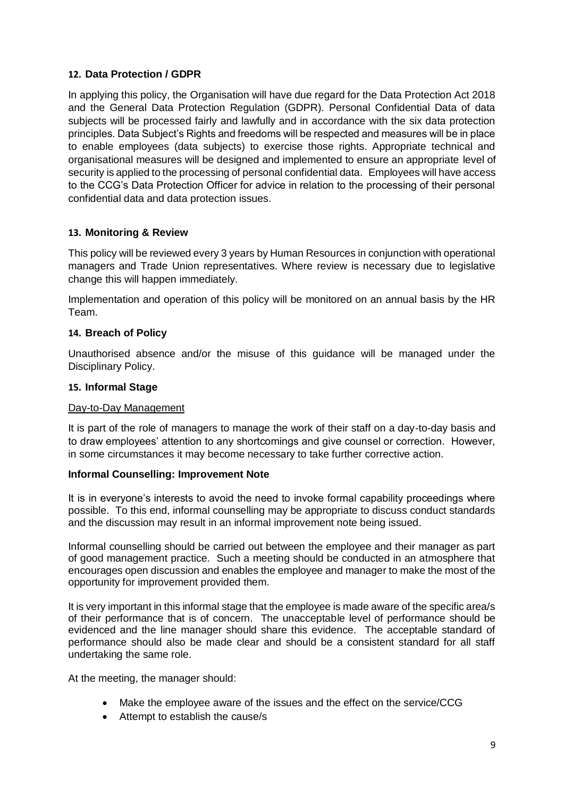# <span id="page-8-0"></span>**12. Data Protection / GDPR**

In applying this policy, the Organisation will have due regard for the Data Protection Act 2018 and the General Data Protection Regulation (GDPR). Personal Confidential Data of data subjects will be processed fairly and lawfully and in accordance with the six data protection principles. Data Subject's Rights and freedoms will be respected and measures will be in place to enable employees (data subjects) to exercise those rights. Appropriate technical and organisational measures will be designed and implemented to ensure an appropriate level of security is applied to the processing of personal confidential data. Employees will have access to the CCG's Data Protection Officer for advice in relation to the processing of their personal confidential data and data protection issues.

# <span id="page-8-1"></span>**13. Monitoring & Review**

This policy will be reviewed every 3 years by Human Resources in conjunction with operational managers and Trade Union representatives. Where review is necessary due to legislative change this will happen immediately.

Implementation and operation of this policy will be monitored on an annual basis by the HR Team.

# <span id="page-8-2"></span>**14. Breach of Policy**

Unauthorised absence and/or the misuse of this guidance will be managed under the Disciplinary Policy.

# <span id="page-8-3"></span>**15. Informal Stage**

#### Day-to-Day Management

It is part of the role of managers to manage the work of their staff on a day-to-day basis and to draw employees' attention to any shortcomings and give counsel or correction. However, in some circumstances it may become necessary to take further corrective action.

# **Informal Counselling: Improvement Note**

It is in everyone's interests to avoid the need to invoke formal capability proceedings where possible. To this end, informal counselling may be appropriate to discuss conduct standards and the discussion may result in an informal improvement note being issued.

Informal counselling should be carried out between the employee and their manager as part of good management practice. Such a meeting should be conducted in an atmosphere that encourages open discussion and enables the employee and manager to make the most of the opportunity for improvement provided them.

It is very important in this informal stage that the employee is made aware of the specific area/s of their performance that is of concern. The unacceptable level of performance should be evidenced and the line manager should share this evidence. The acceptable standard of performance should also be made clear and should be a consistent standard for all staff undertaking the same role.

At the meeting, the manager should:

- Make the employee aware of the issues and the effect on the service/CCG
- Attempt to establish the cause/s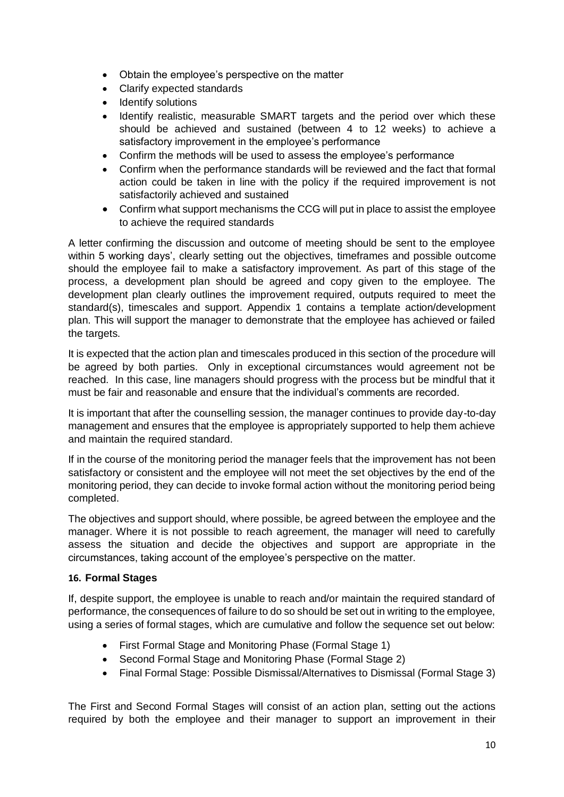- Obtain the employee's perspective on the matter
- Clarify expected standards
- Identify solutions
- Identify realistic, measurable SMART targets and the period over which these should be achieved and sustained (between 4 to 12 weeks) to achieve a satisfactory improvement in the employee's performance
- Confirm the methods will be used to assess the employee's performance
- Confirm when the performance standards will be reviewed and the fact that formal action could be taken in line with the policy if the required improvement is not satisfactorily achieved and sustained
- Confirm what support mechanisms the CCG will put in place to assist the employee to achieve the required standards

A letter confirming the discussion and outcome of meeting should be sent to the employee within 5 working days', clearly setting out the objectives, timeframes and possible outcome should the employee fail to make a satisfactory improvement. As part of this stage of the process, a development plan should be agreed and copy given to the employee. The development plan clearly outlines the improvement required, outputs required to meet the standard(s), timescales and support. Appendix 1 contains a template action/development plan. This will support the manager to demonstrate that the employee has achieved or failed the targets.

It is expected that the action plan and timescales produced in this section of the procedure will be agreed by both parties. Only in exceptional circumstances would agreement not be reached. In this case, line managers should progress with the process but be mindful that it must be fair and reasonable and ensure that the individual's comments are recorded.

It is important that after the counselling session, the manager continues to provide day-to-day management and ensures that the employee is appropriately supported to help them achieve and maintain the required standard.

If in the course of the monitoring period the manager feels that the improvement has not been satisfactory or consistent and the employee will not meet the set objectives by the end of the monitoring period, they can decide to invoke formal action without the monitoring period being completed.

The objectives and support should, where possible, be agreed between the employee and the manager. Where it is not possible to reach agreement, the manager will need to carefully assess the situation and decide the objectives and support are appropriate in the circumstances, taking account of the employee's perspective on the matter.

# <span id="page-9-0"></span>**16. Formal Stages**

If, despite support, the employee is unable to reach and/or maintain the required standard of performance, the consequences of failure to do so should be set out in writing to the employee, using a series of formal stages, which are cumulative and follow the sequence set out below:

- First Formal Stage and Monitoring Phase (Formal Stage 1)
- Second Formal Stage and Monitoring Phase (Formal Stage 2)
- Final Formal Stage: Possible Dismissal/Alternatives to Dismissal (Formal Stage 3)

The First and Second Formal Stages will consist of an action plan, setting out the actions required by both the employee and their manager to support an improvement in their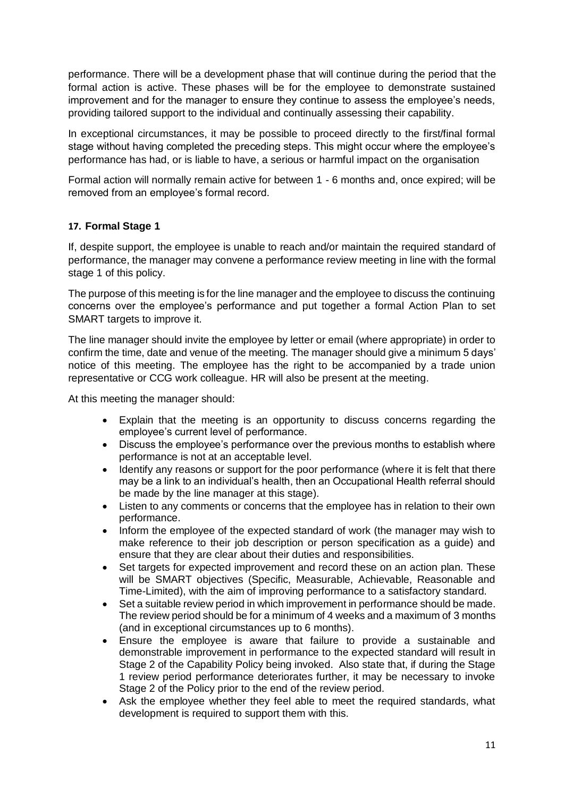performance. There will be a development phase that will continue during the period that the formal action is active. These phases will be for the employee to demonstrate sustained improvement and for the manager to ensure they continue to assess the employee's needs, providing tailored support to the individual and continually assessing their capability.

In exceptional circumstances, it may be possible to proceed directly to the first/final formal stage without having completed the preceding steps. This might occur where the employee's performance has had, or is liable to have, a serious or harmful impact on the organisation

Formal action will normally remain active for between 1 - 6 months and, once expired; will be removed from an employee's formal record.

# <span id="page-10-0"></span>**17. Formal Stage 1**

If, despite support, the employee is unable to reach and/or maintain the required standard of performance, the manager may convene a performance review meeting in line with the formal stage 1 of this policy.

The purpose of this meeting is for the line manager and the employee to discuss the continuing concerns over the employee's performance and put together a formal Action Plan to set SMART targets to improve it.

The line manager should invite the employee by letter or email (where appropriate) in order to confirm the time, date and venue of the meeting. The manager should give a minimum 5 days' notice of this meeting. The employee has the right to be accompanied by a trade union representative or CCG work colleague. HR will also be present at the meeting.

At this meeting the manager should:

- Explain that the meeting is an opportunity to discuss concerns regarding the employee's current level of performance.
- Discuss the employee's performance over the previous months to establish where performance is not at an acceptable level.
- Identify any reasons or support for the poor performance (where it is felt that there may be a link to an individual's health, then an Occupational Health referral should be made by the line manager at this stage).
- Listen to any comments or concerns that the employee has in relation to their own performance.
- Inform the employee of the expected standard of work (the manager may wish to make reference to their job description or person specification as a guide) and ensure that they are clear about their duties and responsibilities.
- Set targets for expected improvement and record these on an action plan. These will be SMART objectives (Specific, Measurable, Achievable, Reasonable and Time-Limited), with the aim of improving performance to a satisfactory standard.
- Set a suitable review period in which improvement in performance should be made. The review period should be for a minimum of 4 weeks and a maximum of 3 months (and in exceptional circumstances up to 6 months).
- Ensure the employee is aware that failure to provide a sustainable and demonstrable improvement in performance to the expected standard will result in Stage 2 of the Capability Policy being invoked. Also state that, if during the Stage 1 review period performance deteriorates further, it may be necessary to invoke Stage 2 of the Policy prior to the end of the review period.
- Ask the employee whether they feel able to meet the required standards, what development is required to support them with this.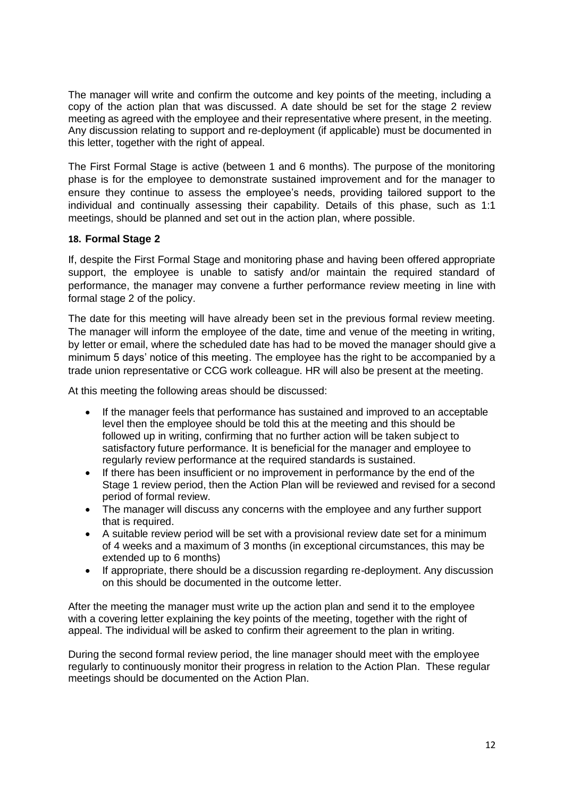The manager will write and confirm the outcome and key points of the meeting, including a copy of the action plan that was discussed. A date should be set for the stage 2 review meeting as agreed with the employee and their representative where present, in the meeting. Any discussion relating to support and re-deployment (if applicable) must be documented in this letter, together with the right of appeal.

The First Formal Stage is active (between 1 and 6 months). The purpose of the monitoring phase is for the employee to demonstrate sustained improvement and for the manager to ensure they continue to assess the employee's needs, providing tailored support to the individual and continually assessing their capability. Details of this phase, such as 1:1 meetings, should be planned and set out in the action plan, where possible.

# <span id="page-11-0"></span>**18. Formal Stage 2**

If, despite the First Formal Stage and monitoring phase and having been offered appropriate support, the employee is unable to satisfy and/or maintain the required standard of performance, the manager may convene a further performance review meeting in line with formal stage 2 of the policy.

The date for this meeting will have already been set in the previous formal review meeting. The manager will inform the employee of the date, time and venue of the meeting in writing, by letter or email, where the scheduled date has had to be moved the manager should give a minimum 5 days' notice of this meeting. The employee has the right to be accompanied by a trade union representative or CCG work colleague. HR will also be present at the meeting.

At this meeting the following areas should be discussed:

- If the manager feels that performance has sustained and improved to an acceptable level then the employee should be told this at the meeting and this should be followed up in writing, confirming that no further action will be taken subject to satisfactory future performance. It is beneficial for the manager and employee to regularly review performance at the required standards is sustained.
- If there has been insufficient or no improvement in performance by the end of the Stage 1 review period, then the Action Plan will be reviewed and revised for a second period of formal review.
- The manager will discuss any concerns with the employee and any further support that is required.
- A suitable review period will be set with a provisional review date set for a minimum of 4 weeks and a maximum of 3 months (in exceptional circumstances, this may be extended up to 6 months)
- If appropriate, there should be a discussion regarding re-deployment. Any discussion on this should be documented in the outcome letter.

After the meeting the manager must write up the action plan and send it to the employee with a covering letter explaining the key points of the meeting, together with the right of appeal. The individual will be asked to confirm their agreement to the plan in writing.

During the second formal review period, the line manager should meet with the employee regularly to continuously monitor their progress in relation to the Action Plan. These regular meetings should be documented on the Action Plan.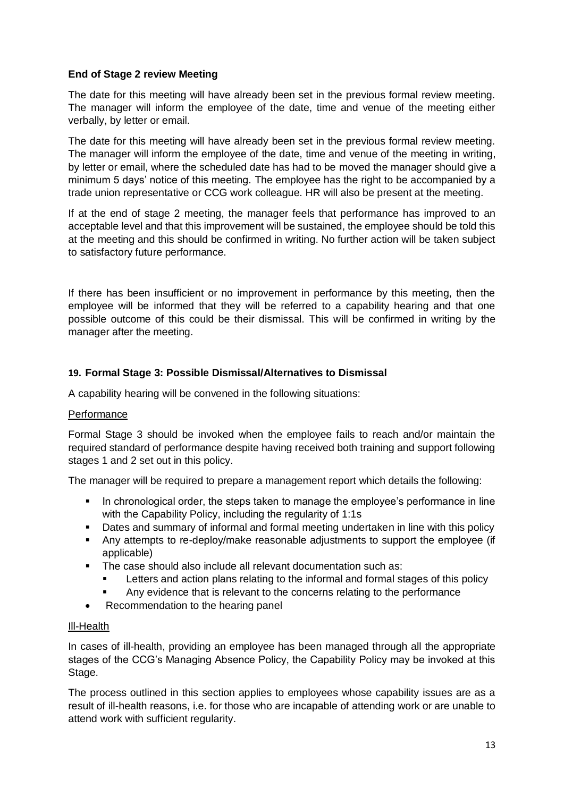# **End of Stage 2 review Meeting**

The date for this meeting will have already been set in the previous formal review meeting. The manager will inform the employee of the date, time and venue of the meeting either verbally, by letter or email.

The date for this meeting will have already been set in the previous formal review meeting. The manager will inform the employee of the date, time and venue of the meeting in writing, by letter or email, where the scheduled date has had to be moved the manager should give a minimum 5 days' notice of this meeting. The employee has the right to be accompanied by a trade union representative or CCG work colleague. HR will also be present at the meeting.

If at the end of stage 2 meeting, the manager feels that performance has improved to an acceptable level and that this improvement will be sustained, the employee should be told this at the meeting and this should be confirmed in writing. No further action will be taken subject to satisfactory future performance.

If there has been insufficient or no improvement in performance by this meeting, then the employee will be informed that they will be referred to a capability hearing and that one possible outcome of this could be their dismissal. This will be confirmed in writing by the manager after the meeting.

# <span id="page-12-0"></span>**19. Formal Stage 3: Possible Dismissal/Alternatives to Dismissal**

A capability hearing will be convened in the following situations:

# **Performance**

Formal Stage 3 should be invoked when the employee fails to reach and/or maintain the required standard of performance despite having received both training and support following stages 1 and 2 set out in this policy.

The manager will be required to prepare a management report which details the following:

- In chronological order, the steps taken to manage the employee's performance in line with the Capability Policy, including the regularity of 1:1s
- Dates and summary of informal and formal meeting undertaken in line with this policy
- Any attempts to re-deploy/make reasonable adjustments to support the employee (if applicable)
- The case should also include all relevant documentation such as:
	- Letters and action plans relating to the informal and formal stages of this policy
	- Any evidence that is relevant to the concerns relating to the performance
- Recommendation to the hearing panel

# Ill-Health

In cases of ill-health, providing an employee has been managed through all the appropriate stages of the CCG's Managing Absence Policy, the Capability Policy may be invoked at this Stage.

The process outlined in this section applies to employees whose capability issues are as a result of ill-health reasons, i.e. for those who are incapable of attending work or are unable to attend work with sufficient regularity.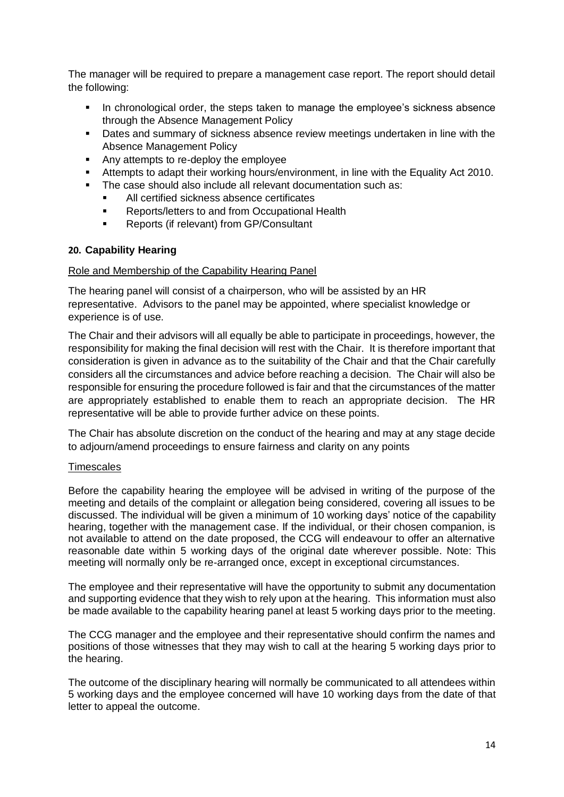The manager will be required to prepare a management case report. The report should detail the following:

- **In chronological order, the steps taken to manage the employee's sickness absence** through the Absence Management Policy
- Dates and summary of sickness absence review meetings undertaken in line with the Absence Management Policy
- Any attempts to re-deploy the employee
- Attempts to adapt their working hours/environment, in line with the Equality Act 2010.
- The case should also include all relevant documentation such as:
	- All certified sickness absence certificates
	- Reports/letters to and from Occupational Health
	- Reports (if relevant) from GP/Consultant

#### <span id="page-13-0"></span>**20. Capability Hearing**

#### Role and Membership of the Capability Hearing Panel

The hearing panel will consist of a chairperson, who will be assisted by an HR representative. Advisors to the panel may be appointed, where specialist knowledge or experience is of use.

The Chair and their advisors will all equally be able to participate in proceedings, however, the responsibility for making the final decision will rest with the Chair. It is therefore important that consideration is given in advance as to the suitability of the Chair and that the Chair carefully considers all the circumstances and advice before reaching a decision. The Chair will also be responsible for ensuring the procedure followed is fair and that the circumstances of the matter are appropriately established to enable them to reach an appropriate decision. The HR representative will be able to provide further advice on these points.

The Chair has absolute discretion on the conduct of the hearing and may at any stage decide to adjourn/amend proceedings to ensure fairness and clarity on any points

#### **Timescales**

Before the capability hearing the employee will be advised in writing of the purpose of the meeting and details of the complaint or allegation being considered, covering all issues to be discussed. The individual will be given a minimum of 10 working days' notice of the capability hearing, together with the management case. If the individual, or their chosen companion, is not available to attend on the date proposed, the CCG will endeavour to offer an alternative reasonable date within 5 working days of the original date wherever possible. Note: This meeting will normally only be re-arranged once, except in exceptional circumstances.

The employee and their representative will have the opportunity to submit any documentation and supporting evidence that they wish to rely upon at the hearing. This information must also be made available to the capability hearing panel at least 5 working days prior to the meeting.

The CCG manager and the employee and their representative should confirm the names and positions of those witnesses that they may wish to call at the hearing 5 working days prior to the hearing.

The outcome of the disciplinary hearing will normally be communicated to all attendees within 5 working days and the employee concerned will have 10 working days from the date of that letter to appeal the outcome.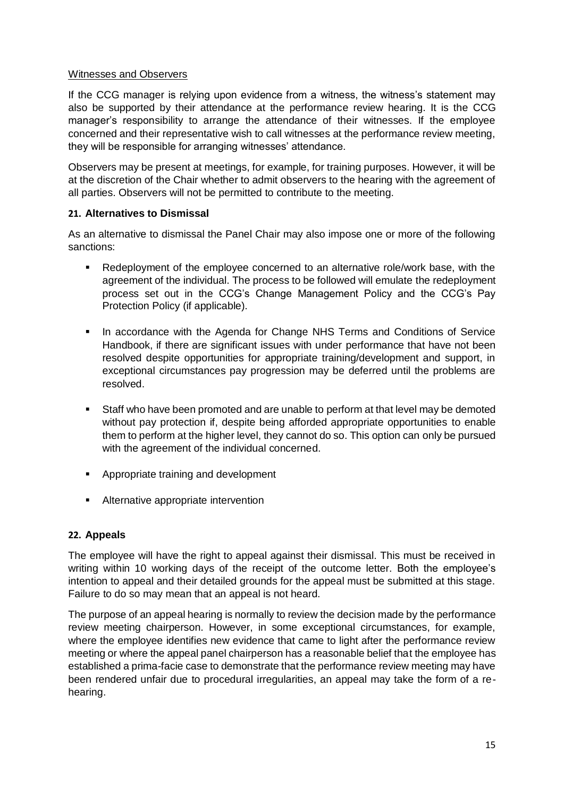# Witnesses and Observers

If the CCG manager is relying upon evidence from a witness, the witness's statement may also be supported by their attendance at the performance review hearing. It is the CCG manager's responsibility to arrange the attendance of their witnesses. If the employee concerned and their representative wish to call witnesses at the performance review meeting, they will be responsible for arranging witnesses' attendance.

Observers may be present at meetings, for example, for training purposes. However, it will be at the discretion of the Chair whether to admit observers to the hearing with the agreement of all parties. Observers will not be permitted to contribute to the meeting.

# <span id="page-14-0"></span>**21. Alternatives to Dismissal**

As an alternative to dismissal the Panel Chair may also impose one or more of the following sanctions:

- Redeployment of the employee concerned to an alternative role/work base, with the agreement of the individual. The process to be followed will emulate the redeployment process set out in the CCG's Change Management Policy and the CCG's Pay Protection Policy (if applicable).
- **In accordance with the Agenda for Change NHS Terms and Conditions of Service** Handbook, if there are significant issues with under performance that have not been resolved despite opportunities for appropriate training/development and support, in exceptional circumstances pay progression may be deferred until the problems are resolved.
- Staff who have been promoted and are unable to perform at that level may be demoted without pay protection if, despite being afforded appropriate opportunities to enable them to perform at the higher level, they cannot do so. This option can only be pursued with the agreement of the individual concerned.
- **Appropriate training and development**
- **Alternative appropriate intervention**

# <span id="page-14-1"></span>**22. Appeals**

The employee will have the right to appeal against their dismissal. This must be received in writing within 10 working days of the receipt of the outcome letter. Both the employee's intention to appeal and their detailed grounds for the appeal must be submitted at this stage. Failure to do so may mean that an appeal is not heard.

The purpose of an appeal hearing is normally to review the decision made by the performance review meeting chairperson. However, in some exceptional circumstances, for example, where the employee identifies new evidence that came to light after the performance review meeting or where the appeal panel chairperson has a reasonable belief that the employee has established a prima-facie case to demonstrate that the performance review meeting may have been rendered unfair due to procedural irregularities, an appeal may take the form of a rehearing.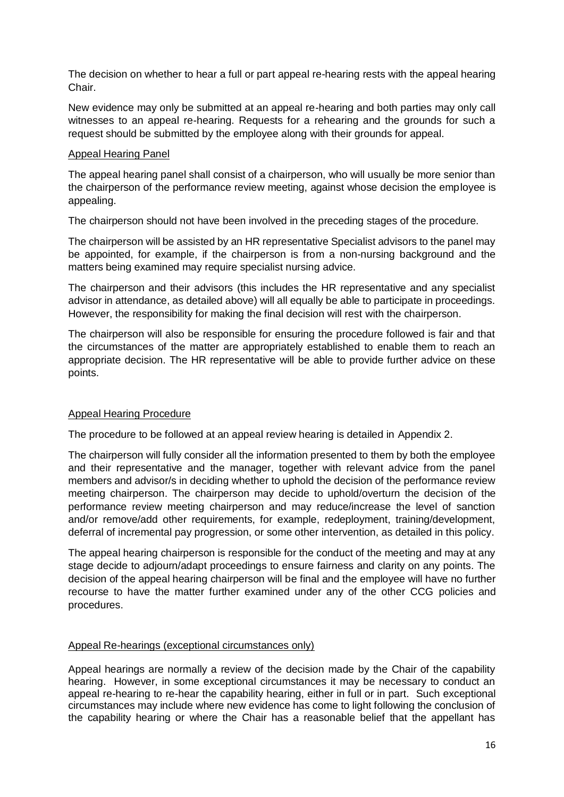The decision on whether to hear a full or part appeal re-hearing rests with the appeal hearing Chair.

New evidence may only be submitted at an appeal re-hearing and both parties may only call witnesses to an appeal re-hearing. Requests for a rehearing and the grounds for such a request should be submitted by the employee along with their grounds for appeal.

# Appeal Hearing Panel

The appeal hearing panel shall consist of a chairperson, who will usually be more senior than the chairperson of the performance review meeting, against whose decision the employee is appealing.

The chairperson should not have been involved in the preceding stages of the procedure.

The chairperson will be assisted by an HR representative Specialist advisors to the panel may be appointed, for example, if the chairperson is from a non-nursing background and the matters being examined may require specialist nursing advice.

The chairperson and their advisors (this includes the HR representative and any specialist advisor in attendance, as detailed above) will all equally be able to participate in proceedings. However, the responsibility for making the final decision will rest with the chairperson.

The chairperson will also be responsible for ensuring the procedure followed is fair and that the circumstances of the matter are appropriately established to enable them to reach an appropriate decision. The HR representative will be able to provide further advice on these points.

# Appeal Hearing Procedure

The procedure to be followed at an appeal review hearing is detailed in Appendix 2.

The chairperson will fully consider all the information presented to them by both the employee and their representative and the manager, together with relevant advice from the panel members and advisor/s in deciding whether to uphold the decision of the performance review meeting chairperson. The chairperson may decide to uphold/overturn the decision of the performance review meeting chairperson and may reduce/increase the level of sanction and/or remove/add other requirements, for example, redeployment, training/development, deferral of incremental pay progression, or some other intervention, as detailed in this policy.

The appeal hearing chairperson is responsible for the conduct of the meeting and may at any stage decide to adjourn/adapt proceedings to ensure fairness and clarity on any points. The decision of the appeal hearing chairperson will be final and the employee will have no further recourse to have the matter further examined under any of the other CCG policies and procedures.

# Appeal Re-hearings (exceptional circumstances only)

Appeal hearings are normally a review of the decision made by the Chair of the capability hearing. However, in some exceptional circumstances it may be necessary to conduct an appeal re-hearing to re-hear the capability hearing, either in full or in part. Such exceptional circumstances may include where new evidence has come to light following the conclusion of the capability hearing or where the Chair has a reasonable belief that the appellant has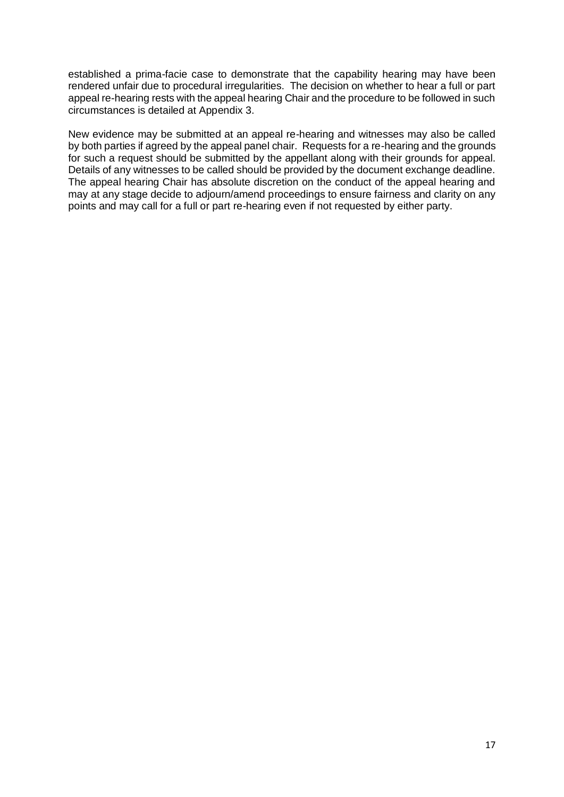established a prima-facie case to demonstrate that the capability hearing may have been rendered unfair due to procedural irregularities. The decision on whether to hear a full or part appeal re-hearing rests with the appeal hearing Chair and the procedure to be followed in such circumstances is detailed at Appendix 3.

New evidence may be submitted at an appeal re-hearing and witnesses may also be called by both parties if agreed by the appeal panel chair. Requests for a re-hearing and the grounds for such a request should be submitted by the appellant along with their grounds for appeal. Details of any witnesses to be called should be provided by the document exchange deadline. The appeal hearing Chair has absolute discretion on the conduct of the appeal hearing and may at any stage decide to adjourn/amend proceedings to ensure fairness and clarity on any points and may call for a full or part re-hearing even if not requested by either party.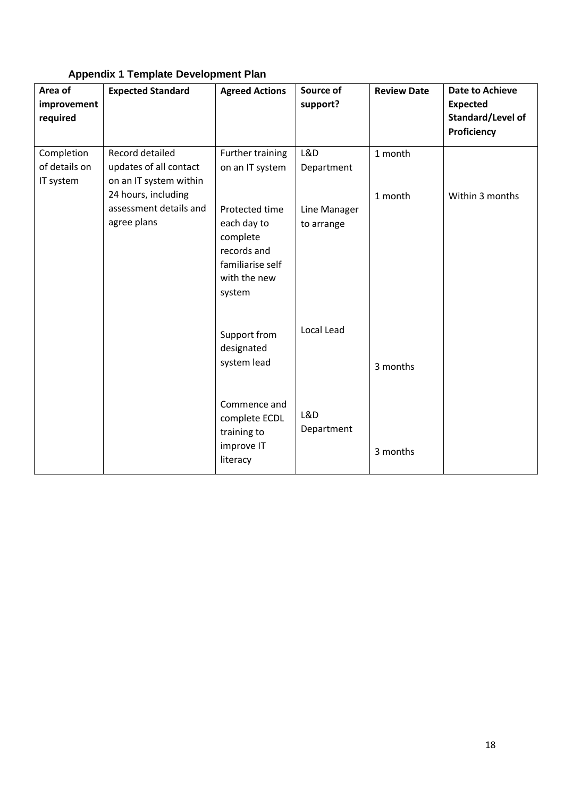| Area of<br>improvement<br>required       | <b>Expected Standard</b>                                                                                                            | <b>Agreed Actions</b>                                                                                                                         | Source of<br>support?                           | <b>Review Date</b> | <b>Date to Achieve</b><br><b>Expected</b><br>Standard/Level of<br>Proficiency |
|------------------------------------------|-------------------------------------------------------------------------------------------------------------------------------------|-----------------------------------------------------------------------------------------------------------------------------------------------|-------------------------------------------------|--------------------|-------------------------------------------------------------------------------|
| Completion<br>of details on<br>IT system | Record detailed<br>updates of all contact<br>on an IT system within<br>24 hours, including<br>assessment details and<br>agree plans | Further training<br>on an IT system<br>Protected time<br>each day to<br>complete<br>records and<br>familiarise self<br>with the new<br>system | L&D<br>Department<br>Line Manager<br>to arrange | 1 month<br>1 month | Within 3 months                                                               |
|                                          |                                                                                                                                     | Support from<br>designated<br>system lead<br>Commence and<br>complete ECDL<br>training to                                                     | Local Lead<br>L&D<br>Department                 | 3 months           |                                                                               |
|                                          |                                                                                                                                     | improve IT<br>literacy                                                                                                                        |                                                 | 3 months           |                                                                               |

# **Appendix 1 Template Development Plan**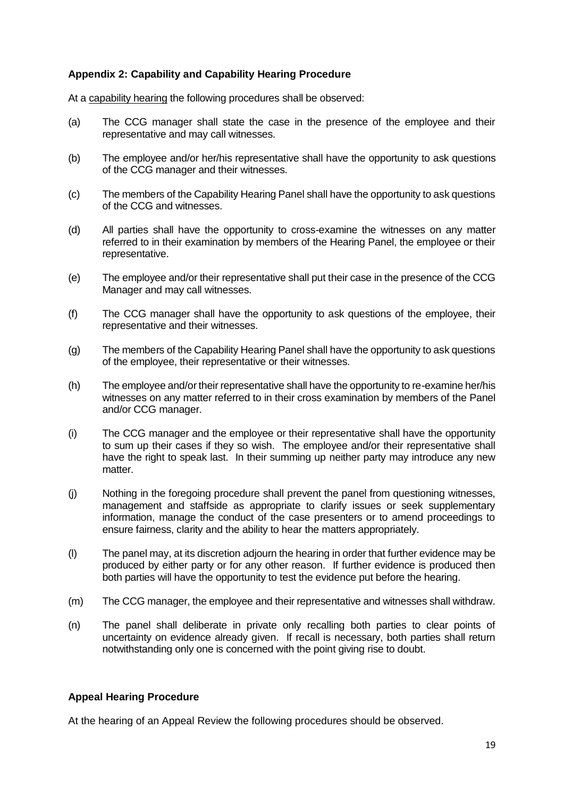# **Appendix 2: Capability and Capability Hearing Procedure**

At a capability hearing the following procedures shall be observed:

- (a) The CCG manager shall state the case in the presence of the employee and their representative and may call witnesses.
- (b) The employee and/or her/his representative shall have the opportunity to ask questions of the CCG manager and their witnesses.
- (c) The members of the Capability Hearing Panel shall have the opportunity to ask questions of the CCG and witnesses.
- (d) All parties shall have the opportunity to cross-examine the witnesses on any matter referred to in their examination by members of the Hearing Panel, the employee or their representative.
- (e) The employee and/or their representative shall put their case in the presence of the CCG Manager and may call witnesses.
- (f) The CCG manager shall have the opportunity to ask questions of the employee, their representative and their witnesses.
- (g) The members of the Capability Hearing Panel shall have the opportunity to ask questions of the employee, their representative or their witnesses.
- (h) The employee and/or their representative shall have the opportunity to re-examine her/his witnesses on any matter referred to in their cross examination by members of the Panel and/or CCG manager.
- (i) The CCG manager and the employee or their representative shall have the opportunity to sum up their cases if they so wish. The employee and/or their representative shall have the right to speak last. In their summing up neither party may introduce any new matter.
- (j) Nothing in the foregoing procedure shall prevent the panel from questioning witnesses, management and staffside as appropriate to clarify issues or seek supplementary information, manage the conduct of the case presenters or to amend proceedings to ensure fairness, clarity and the ability to hear the matters appropriately.
- (l) The panel may, at its discretion adjourn the hearing in order that further evidence may be produced by either party or for any other reason. If further evidence is produced then both parties will have the opportunity to test the evidence put before the hearing.
- (m) The CCG manager, the employee and their representative and witnesses shall withdraw.
- (n) The panel shall deliberate in private only recalling both parties to clear points of uncertainty on evidence already given. If recall is necessary, both parties shall return notwithstanding only one is concerned with the point giving rise to doubt.

# **Appeal Hearing Procedure**

At the hearing of an Appeal Review the following procedures should be observed.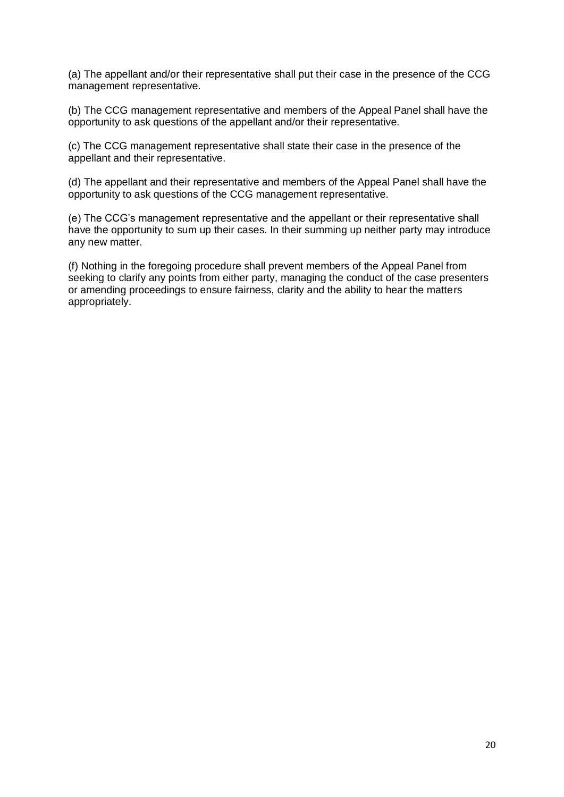(a) The appellant and/or their representative shall put their case in the presence of the CCG management representative.

(b) The CCG management representative and members of the Appeal Panel shall have the opportunity to ask questions of the appellant and/or their representative.

(c) The CCG management representative shall state their case in the presence of the appellant and their representative.

(d) The appellant and their representative and members of the Appeal Panel shall have the opportunity to ask questions of the CCG management representative.

(e) The CCG's management representative and the appellant or their representative shall have the opportunity to sum up their cases. In their summing up neither party may introduce any new matter.

(f) Nothing in the foregoing procedure shall prevent members of the Appeal Panel from seeking to clarify any points from either party, managing the conduct of the case presenters or amending proceedings to ensure fairness, clarity and the ability to hear the matters appropriately.